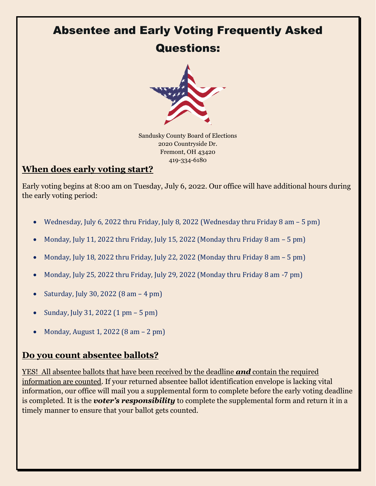# Absentee and Early Voting Frequently Asked

## Questions:



Sandusky County Board of Elections 2020 Countryside Dr. Fremont, OH 43420 419-334-6180

#### **When does early voting start?**

Early voting begins at 8:00 am on Tuesday, July 6, 2022. Our office will have additional hours during the early voting period:

- Wednesday, July 6, 2022 thru Friday, July 8, 2022 (Wednesday thru Friday 8 am 5 pm)
- Monday, July 11, 2022 thru Friday, July 15, 2022 (Monday thru Friday 8 am 5 pm)
- Monday, July 18, 2022 thru Friday, July 22, 2022 (Monday thru Friday 8 am 5 pm)
- Monday, July 25, 2022 thru Friday, July 29, 2022 (Monday thru Friday 8 am -7 pm)
- Saturday, July 30, 2022 (8 am 4 pm)
- Sunday, July 31, 2022 (1 pm 5 pm)
- Monday, August 1, 2022 (8 am 2 pm)

#### **Do you count absentee ballots?**

YES! All absentee ballots that have been received by the deadline *and* contain the required information are counted. If your returned absentee ballot identification envelope is lacking vital information, our office will mail you a supplemental form to complete before the early voting deadline is completed. It is the *voter's responsibility* to complete the supplemental form and return it in a timely manner to ensure that your ballot gets counted.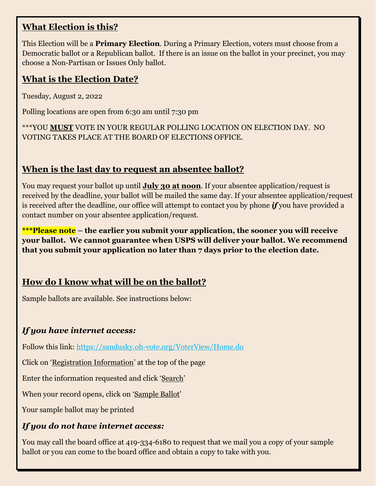#### **What Election is this?**

This Election will be a **Primary Election**. During a Primary Election, voters must choose from a Democratic ballot or a Republican ballot. If there is an issue on the ballot in your precinct, you may choose a Non-Partisan or Issues Only ballot.

#### **What is the Election Date?**

Tuesday, August 2, 2022

Polling locations are open from 6:30 am until 7:30 pm

\*\*\*YOU **MUST** VOTE IN YOUR REGULAR POLLING LOCATION ON ELECTION DAY. NO VOTING TAKES PLACE AT THE BOARD OF ELECTIONS OFFICE.

#### **When is the last day to request an absentee ballot?**

You may request your ballot up until **July 30 at noon**. If your absentee application/request is received by the deadline, your ballot will be mailed the same day. If your absentee application/request is received after the deadline, our office will attempt to contact you by phone *if* you have provided a contact number on your absentee application/request.

**\*\*\*Please note – the earlier you submit your application, the sooner you will receive your ballot. We cannot guarantee when USPS will deliver your ballot. We recommend that you submit your application no later than 7 days prior to the election date.**

## **How do I know what will be on the ballot?**

Sample ballots are available. See instructions below:

#### *If you have internet access:*

Follow this link:<https://sandusky.oh-vote.org/VoterView/Home.do>

Click on 'Registration Information' at the top of the page

Enter the information requested and click 'Search'

When your record opens, click on 'Sample Ballot'

Your sample ballot may be printed

#### *If you do not have internet access:*

You may call the board office at 419-334-6180 to request that we mail you a copy of your sample ballot or you can come to the board office and obtain a copy to take with you.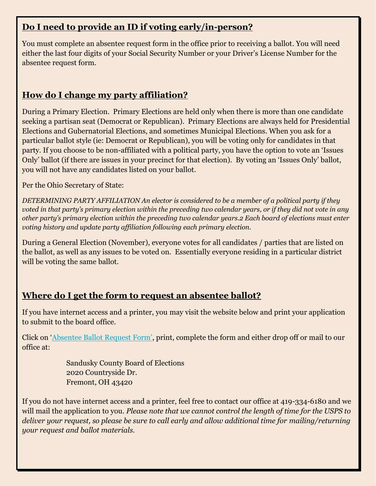#### **Do I need to provide an ID if voting early/in-person?**

You must complete an absentee request form in the office prior to receiving a ballot. You will need either the last four digits of your Social Security Number or your Driver's License Number for the absentee request form.

### **How do I change my party affiliation?**

During a Primary Election. Primary Elections are held only when there is more than one candidate seeking a partisan seat (Democrat or Republican). Primary Elections are always held for Presidential Elections and Gubernatorial Elections, and sometimes Municipal Elections. When you ask for a particular ballot style (ie: Democrat or Republican), you will be voting only for candidates in that party. If you choose to be non-affiliated with a political party, you have the option to vote an 'Issues Only' ballot (if there are issues in your precinct for that election). By voting an 'Issues Only' ballot, you will not have any candidates listed on your ballot.

Per the Ohio Secretary of State:

*DETERMINING PARTY AFFILIATION An elector is considered to be a member of a political party if they voted in that party's primary election within the preceding two calendar years, or if they did not vote in any other party's primary election within the preceding two calendar years.2 Each board of elections must enter voting history and update party affiliation following each primary election.*

During a General Election (November), everyone votes for all candidates / parties that are listed on the ballot, as well as any issues to be voted on. Essentially everyone residing in a particular district will be voting the same ballot.

#### **Where do I get the form to request an absentee ballot?**

If you have internet access and a printer, you may visit the website below and print your application to submit to the board office.

Click on '[Absentee Ballot Request Form](https://www.sos.state.oh.us/globalassets/elections/forms/11-a_english.pdf)['](https://www.ohiosos.gov/elections/voters/), print, complete the form and either drop off or mail to our office at:

> Sandusky County Board of Elections 2020 Countryside Dr. Fremont, OH 43420

If you do not have internet access and a printer, feel free to contact our office at 419-334-6180 and we will mail the application to you. *Please note that we cannot control the length of time for the USPS to deliver your request, so please be sure to call early and allow additional time for mailing/returning your request and ballot materials.*